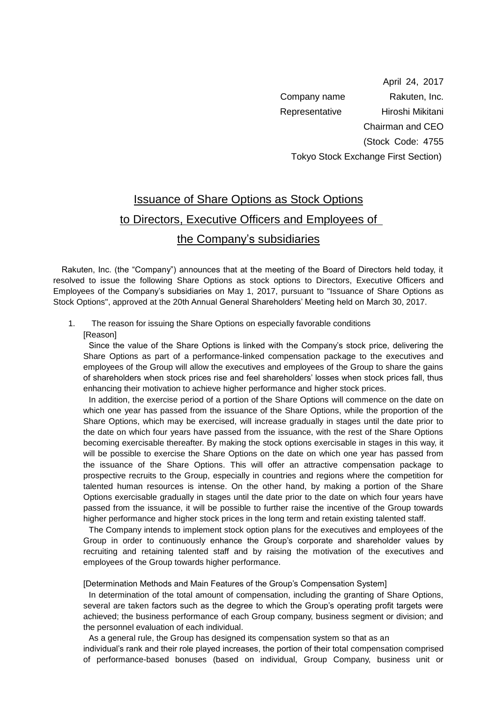April 24, 2017 Company name Rakuten, Inc. Representative Hiroshi Mikitani Chairman and CEO (Stock Code: 4755 Tokyo Stock Exchange First Section)

## Issuance of Share Options as Stock Options to Directors, Executive Officers and Employees of the Company's subsidiaries

 Rakuten, Inc. (the "Company") announces that at the meeting of the Board of Directors held today, it resolved to issue the following Share Options as stock options to Directors, Executive Officers and Employees of the Company's subsidiaries on May 1, 2017, pursuant to "Issuance of Share Options as Stock Options", approved at the 20th Annual General Shareholders' Meeting held on March 30, 2017.

## 1. The reason for issuing the Share Options on especially favorable conditions

[Reason]

Since the value of the Share Options is linked with the Company's stock price, delivering the Share Options as part of a performance-linked compensation package to the executives and employees of the Group will allow the executives and employees of the Group to share the gains of shareholders when stock prices rise and feel shareholders' losses when stock prices fall, thus enhancing their motivation to achieve higher performance and higher stock prices.

In addition, the exercise period of a portion of the Share Options will commence on the date on which one year has passed from the issuance of the Share Options, while the proportion of the Share Options, which may be exercised, will increase gradually in stages until the date prior to the date on which four years have passed from the issuance, with the rest of the Share Options becoming exercisable thereafter. By making the stock options exercisable in stages in this way, it will be possible to exercise the Share Options on the date on which one year has passed from the issuance of the Share Options. This will offer an attractive compensation package to prospective recruits to the Group, especially in countries and regions where the competition for talented human resources is intense. On the other hand, by making a portion of the Share Options exercisable gradually in stages until the date prior to the date on which four years have passed from the issuance, it will be possible to further raise the incentive of the Group towards higher performance and higher stock prices in the long term and retain existing talented staff.

The Company intends to implement stock option plans for the executives and employees of the Group in order to continuously enhance the Group's corporate and shareholder values by recruiting and retaining talented staff and by raising the motivation of the executives and employees of the Group towards higher performance.

[Determination Methods and Main Features of the Group's Compensation System]

In determination of the total amount of compensation, including the granting of Share Options, several are taken factors such as the degree to which the Group's operating profit targets were achieved; the business performance of each Group company, business segment or division; and the personnel evaluation of each individual.

As a general rule, the Group has designed its compensation system so that as an individual's rank and their role played increases, the portion of their total compensation comprised of performance-based bonuses (based on individual, Group Company, business unit or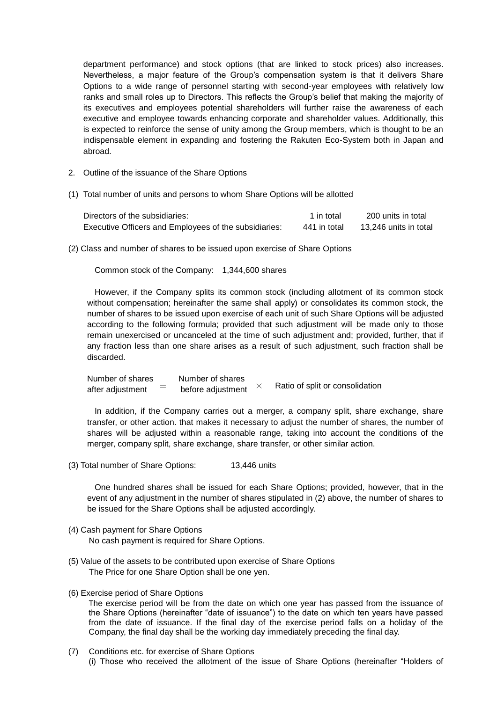department performance) and stock options (that are linked to stock prices) also increases. Nevertheless, a major feature of the Group's compensation system is that it delivers Share Options to a wide range of personnel starting with second-year employees with relatively low ranks and small roles up to Directors. This reflects the Group's belief that making the majority of its executives and employees potential shareholders will further raise the awareness of each executive and employee towards enhancing corporate and shareholder values. Additionally, this is expected to reinforce the sense of unity among the Group members, which is thought to be an indispensable element in expanding and fostering the Rakuten Eco-System both in Japan and abroad.

- 2. Outline of the issuance of the Share Options
- (1) Total number of units and persons to whom Share Options will be allotted

| Directors of the subsidiaries:                        | 1 in total   | 200 units in total    |
|-------------------------------------------------------|--------------|-----------------------|
| Executive Officers and Employees of the subsidiaries: | 441 in total | 13,246 units in total |

(2) Class and number of shares to be issued upon exercise of Share Options

Common stock of the Company: 1,344,600 shares

However, if the Company splits its common stock (including allotment of its common stock without compensation; hereinafter the same shall apply) or consolidates its common stock, the number of shares to be issued upon exercise of each unit of such Share Options will be adjusted according to the following formula; provided that such adjustment will be made only to those remain unexercised or uncanceled at the time of such adjustment and; provided, further, that if any fraction less than one share arises as a result of such adjustment, such fraction shall be discarded.

Number of shares Number of shares after adjustment  $\qquad$  before adjustment  $\times$ Ratio of split or consolidation

In addition, if the Company carries out a merger, a company split, share exchange, share transfer, or other action. that makes it necessary to adjust the number of shares, the number of shares will be adjusted within a reasonable range, taking into account the conditions of the merger, company split, share exchange, share transfer, or other similar action.

(3) Total number of Share Options: 13,446 units

One hundred shares shall be issued for each Share Options; provided, however, that in the event of any adjustment in the number of shares stipulated in (2) above, the number of shares to be issued for the Share Options shall be adjusted accordingly.

- (4) Cash payment for Share Options No cash payment is required for Share Options.
- (5) Value of the assets to be contributed upon exercise of Share Options The Price for one Share Option shall be one yen.
- (6) Exercise period of Share Options

The exercise period will be from the date on which one year has passed from the issuance of the Share Options (hereinafter "date of issuance") to the date on which ten years have passed from the date of issuance. If the final day of the exercise period falls on a holiday of the Company, the final day shall be the working day immediately preceding the final day.

(7) Conditions etc. for exercise of Share Options (i) Those who received the allotment of the issue of Share Options (hereinafter "Holders of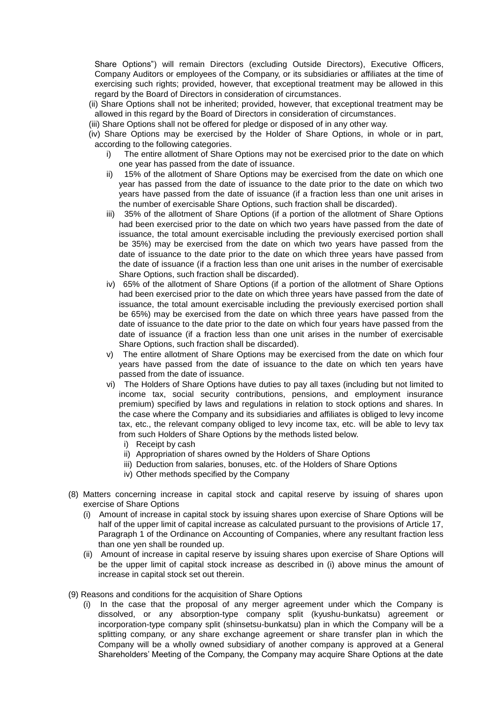Share Options") will remain Directors (excluding Outside Directors), Executive Officers, Company Auditors or employees of the Company, or its subsidiaries or affiliates at the time of exercising such rights; provided, however, that exceptional treatment may be allowed in this regard by the Board of Directors in consideration of circumstances.

- (ii) Share Options shall not be inherited; provided, however, that exceptional treatment may be allowed in this regard by the Board of Directors in consideration of circumstances.
- (iii) Share Options shall not be offered for pledge or disposed of in any other way.
- (iv) Share Options may be exercised by the Holder of Share Options, in whole or in part, according to the following categories.
	- i) The entire allotment of Share Options may not be exercised prior to the date on which one year has passed from the date of issuance.
	- ii) 15% of the allotment of Share Options may be exercised from the date on which one year has passed from the date of issuance to the date prior to the date on which two years have passed from the date of issuance (if a fraction less than one unit arises in the number of exercisable Share Options, such fraction shall be discarded).
	- iii) 35% of the allotment of Share Options (if a portion of the allotment of Share Options had been exercised prior to the date on which two years have passed from the date of issuance, the total amount exercisable including the previously exercised portion shall be 35%) may be exercised from the date on which two years have passed from the date of issuance to the date prior to the date on which three years have passed from the date of issuance (if a fraction less than one unit arises in the number of exercisable Share Options, such fraction shall be discarded).
	- iv) 65% of the allotment of Share Options (if a portion of the allotment of Share Options had been exercised prior to the date on which three years have passed from the date of issuance, the total amount exercisable including the previously exercised portion shall be 65%) may be exercised from the date on which three years have passed from the date of issuance to the date prior to the date on which four years have passed from the date of issuance (if a fraction less than one unit arises in the number of exercisable Share Options, such fraction shall be discarded).
	- v) The entire allotment of Share Options may be exercised from the date on which four years have passed from the date of issuance to the date on which ten years have passed from the date of issuance.
	- vi) The Holders of Share Options have duties to pay all taxes (including but not limited to income tax, social security contributions, pensions, and employment insurance premium) specified by laws and regulations in relation to stock options and shares. In the case where the Company and its subsidiaries and affiliates is obliged to levy income tax, etc., the relevant company obliged to levy income tax, etc. will be able to levy tax from such Holders of Share Options by the methods listed below.
		- i) Receipt by cash
		- ii) Appropriation of shares owned by the Holders of Share Options
		- iii) Deduction from salaries, bonuses, etc. of the Holders of Share Options
		- iv) Other methods specified by the Company
- (8) Matters concerning increase in capital stock and capital reserve by issuing of shares upon exercise of Share Options
	- (i) Amount of increase in capital stock by issuing shares upon exercise of Share Options will be half of the upper limit of capital increase as calculated pursuant to the provisions of Article 17, Paragraph 1 of the Ordinance on Accounting of Companies, where any resultant fraction less than one yen shall be rounded up.
	- (ii) Amount of increase in capital reserve by issuing shares upon exercise of Share Options will be the upper limit of capital stock increase as described in (i) above minus the amount of increase in capital stock set out therein.
- (9) Reasons and conditions for the acquisition of Share Options
	- (i) In the case that the proposal of any merger agreement under which the Company is dissolved, or any absorption-type company split (kyushu-bunkatsu) agreement or incorporation-type company split (shinsetsu-bunkatsu) plan in which the Company will be a splitting company, or any share exchange agreement or share transfer plan in which the Company will be a wholly owned subsidiary of another company is approved at a General Shareholders' Meeting of the Company, the Company may acquire Share Options at the date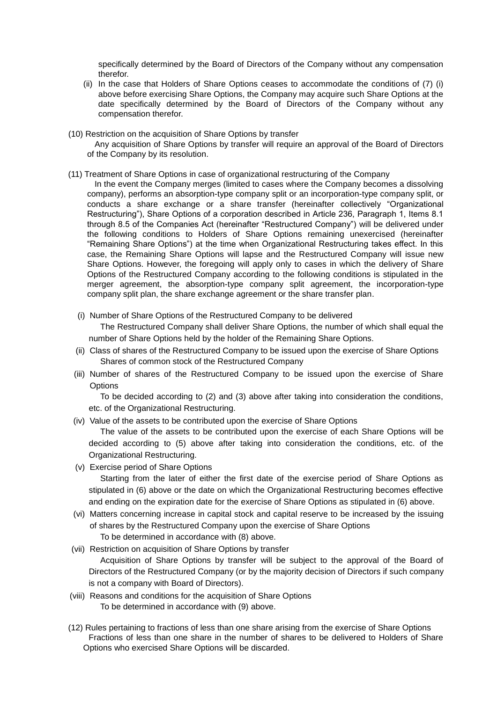specifically determined by the Board of Directors of the Company without any compensation therefor.

- (ii) In the case that Holders of Share Options ceases to accommodate the conditions of (7) (i) above before exercising Share Options, the Company may acquire such Share Options at the date specifically determined by the Board of Directors of the Company without any compensation therefor.
- (10) Restriction on the acquisition of Share Options by transfer
	- Any acquisition of Share Options by transfer will require an approval of the Board of Directors of the Company by its resolution.
- (11) Treatment of Share Options in case of organizational restructuring of the Company
	- In the event the Company merges (limited to cases where the Company becomes a dissolving company), performs an absorption-type company split or an incorporation-type company split, or conducts a share exchange or a share transfer (hereinafter collectively "Organizational Restructuring"), Share Options of a corporation described in Article 236, Paragraph 1, Items 8.1 through 8.5 of the Companies Act (hereinafter "Restructured Company") will be delivered under the following conditions to Holders of Share Options remaining unexercised (hereinafter "Remaining Share Options") at the time when Organizational Restructuring takes effect. In this case, the Remaining Share Options will lapse and the Restructured Company will issue new Share Options. However, the foregoing will apply only to cases in which the delivery of Share Options of the Restructured Company according to the following conditions is stipulated in the merger agreement, the absorption-type company split agreement, the incorporation-type company split plan, the share exchange agreement or the share transfer plan.
	- (i) Number of Share Options of the Restructured Company to be delivered

The Restructured Company shall deliver Share Options, the number of which shall equal the number of Share Options held by the holder of the Remaining Share Options.

- (ii) Class of shares of the Restructured Company to be issued upon the exercise of Share Options Shares of common stock of the Restructured Company
- (iii) Number of shares of the Restructured Company to be issued upon the exercise of Share **Options**

To be decided according to (2) and (3) above after taking into consideration the conditions, etc. of the Organizational Restructuring.

(iv) Value of the assets to be contributed upon the exercise of Share Options

The value of the assets to be contributed upon the exercise of each Share Options will be decided according to (5) above after taking into consideration the conditions, etc. of the Organizational Restructuring.

(v) Exercise period of Share Options

Starting from the later of either the first date of the exercise period of Share Options as stipulated in (6) above or the date on which the Organizational Restructuring becomes effective and ending on the expiration date for the exercise of Share Options as stipulated in (6) above.

- (vi) Matters concerning increase in capital stock and capital reserve to be increased by the issuing of shares by the Restructured Company upon the exercise of Share Options To be determined in accordance with (8) above.
- (vii) Restriction on acquisition of Share Options by transfer Acquisition of Share Options by transfer will be subject to the approval of the Board of Directors of the Restructured Company (or by the majority decision of Directors if such company is not a company with Board of Directors).
- (viii) Reasons and conditions for the acquisition of Share Options To be determined in accordance with (9) above.
- (12) Rules pertaining to fractions of less than one share arising from the exercise of Share Options Fractions of less than one share in the number of shares to be delivered to Holders of Share Options who exercised Share Options will be discarded.